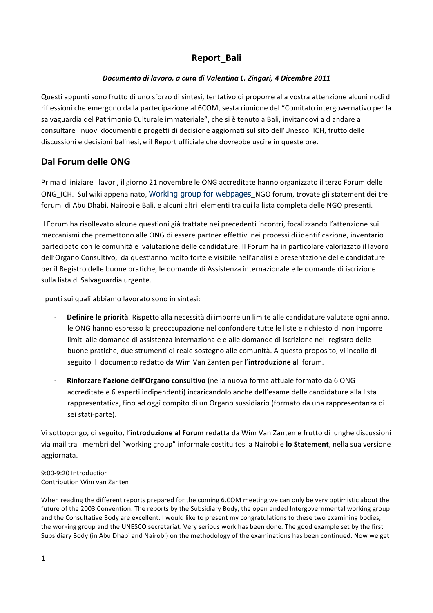## **Report\_Bali**

### Documento di lavoro, a cura di Valentina L. Zingari, 4 Dicembre 2011

Questi appunti sono frutto di uno sforzo di sintesi, tentativo di proporre alla vostra attenzione alcuni nodi di riflessioni che emergono dalla partecipazione al 6COM, sesta riunione del "Comitato intergovernativo per la salvaguardia del Patrimonio Culturale immateriale", che si è tenuto a Bali, invitandovi a d andare a consultare i nuovi documenti e progetti di decisione aggiornati sul sito dell'Unesco ICH, frutto delle discussioni e decisioni balinesi, e il Report ufficiale che dovrebbe uscire in queste ore.

# Dal Forum delle ONG

Prima di iniziare i lavori, il giorno 21 novembre le ONG accreditate hanno organizzato il terzo Forum delle ONG ICH. Sul wiki appena nato, Working group for webpages NGO forum, trovate gli statement dei tre forum di Abu Dhabi, Nairobi e Bali, e alcuni altri elementi tra cui la lista completa delle NGO presenti.

Il Forum ha risollevato alcune questioni già trattate nei precedenti incontri, focalizzando l'attenzione sui meccanismi che premettono alle ONG di essere partner effettivi nei processi di identificazione, inventario partecipato con le comunità e valutazione delle candidature. Il Forum ha in particolare valorizzato il lavoro dell'Organo Consultivo, da quest'anno molto forte e visibile nell'analisi e presentazione delle candidature per il Registro delle buone pratiche, le domande di Assistenza internazionale e le domande di iscrizione sulla lista di Salvaguardia urgente.

I punti sui quali abbiamo lavorato sono in sintesi:

- **Definire le priorità**. Rispetto alla necessità di imporre un limite alle candidature valutate ogni anno, le ONG hanno espresso la preoccupazione nel confondere tutte le liste e richiesto di non imporre limiti alle domande di assistenza internazionale e alle domande di iscrizione nel registro delle buone pratiche, due strumenti di reale sostegno alle comunità. A questo proposito, vi incollo di seguito il documento redatto da Wim Van Zanten per l'introduzione al forum.
- **Rinforzare l'azione dell'Organo consultivo** (nella nuova forma attuale formato da 6 ONG accreditate e 6 esperti indipendenti) incaricandolo anche dell'esame delle candidature alla lista rappresentativa, fino ad oggi compito di un Organo sussidiario (formato da una rappresentanza di sei stati-parte).

Vi sottopongo, di seguito, *l'introduzione al Forum* redatta da Wim Van Zanten e frutto di lunghe discussioni via mail tra i membri del "working group" informale costituitosi a Nairobi e lo Statement, nella sua versione aggiornata.

9:00-9:20 Introduction Contribution Wim van Zanten

When reading the different reports prepared for the coming 6.COM meeting we can only be very optimistic about the future of the 2003 Convention. The reports by the Subsidiary Body, the open ended Intergovernmental working group and the Consultative Body are excellent. I would like to present my congratulations to these two examining bodies, the working group and the UNESCO secretariat. Very serious work has been done. The good example set by the first Subsidiary Body (in Abu Dhabi and Nairobi) on the methodology of the examinations has been continued. Now we get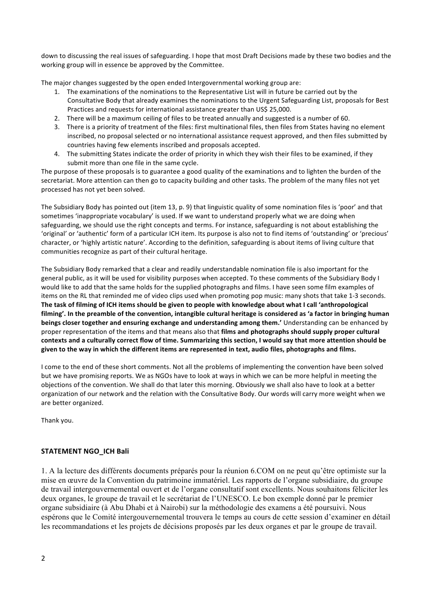down to discussing the real issues of safeguarding. I hope that most Draft Decisions made by these two bodies and the working group will in essence be approved by the Committee.

The major changes suggested by the open ended Intergovernmental working group are:

- 1. The examinations of the nominations to the Representative List will in future be carried out by the Consultative Body that already examines the nominations to the Urgent Safeguarding List, proposals for Best Practices and requests for international assistance greater than US\$ 25,000.
- 2. There will be a maximum ceiling of files to be treated annually and suggested is a number of 60.
- 3. There is a priority of treatment of the files: first multinational files, then files from States having no element inscribed, no proposal selected or no international assistance request approved, and then files submitted by countries having few elements inscribed and proposals accepted.
- 4. The submitting States indicate the order of priority in which they wish their files to be examined, if they submit more than one file in the same cycle.

The purpose of these proposals is to guarantee a good quality of the examinations and to lighten the burden of the secretariat. More attention can then go to capacity building and other tasks. The problem of the many files not yet processed has not yet been solved.

The Subsidiary Body has pointed out (item 13, p. 9) that linguistic quality of some nomination files is 'poor' and that sometimes 'inappropriate vocabulary' is used. If we want to understand properly what we are doing when safeguarding, we should use the right concepts and terms. For instance, safeguarding is not about establishing the 'original' or 'authentic' form of a particular ICH item. Its purpose is also not to find items of 'outstanding' or 'precious' character, or 'highly artistic nature'. According to the definition, safeguarding is about items of living culture that communities recognize as part of their cultural heritage.

The Subsidiary Body remarked that a clear and readily understandable nomination file is also important for the general public, as it will be used for visibility purposes when accepted. To these comments of the Subsidiary Body I would like to add that the same holds for the supplied photographs and films. I have seen some film examples of items on the RL that reminded me of video clips used when promoting pop music: many shots that take 1-3 seconds. The task of filming of ICH items should be given to people with knowledge about what I call 'anthropological filming'. In the preamble of the convention, intangible cultural heritage is considered as 'a factor in bringing human **beings closer together and ensuring exchange and understanding among them.'** Understanding can be enhanced by proper representation of the items and that means also that films and photographs should supply proper cultural contexts and a culturally correct flow of time. Summarizing this section, I would say that more attention should be given to the way in which the different items are represented in text, audio files, photographs and films.

I come to the end of these short comments. Not all the problems of implementing the convention have been solved but we have promising reports. We as NGOs have to look at ways in which we can be more helpful in meeting the objections of the convention. We shall do that later this morning. Obviously we shall also have to look at a better organization of our network and the relation with the Consultative Body. Our words will carry more weight when we are better organized.

Thank you. 

#### **STATEMENT NGO ICH Bali**

1. A la lecture des différents documents préparés pour la réunion 6.COM on ne peut qu'être optimiste sur la mise en œuvre de la Convention du patrimoine immatériel. Les rapports de l'organe subsidiaire, du groupe de travail intergouvernemental ouvert et de l'organe consultatif sont excellents. Nous souhaitons féliciter les deux organes, le groupe de travail et le secrétariat de l'UNESCO. Le bon exemple donné par le premier organe subsidiaire (à Abu Dhabi et à Nairobi) sur la méthodologie des examens a été poursuivi. Nous espérons que le Comité intergouvernemental trouvera le temps au cours de cette session d'examiner en détail les recommandations et les projets de décisions proposés par les deux organes et par le groupe de travail.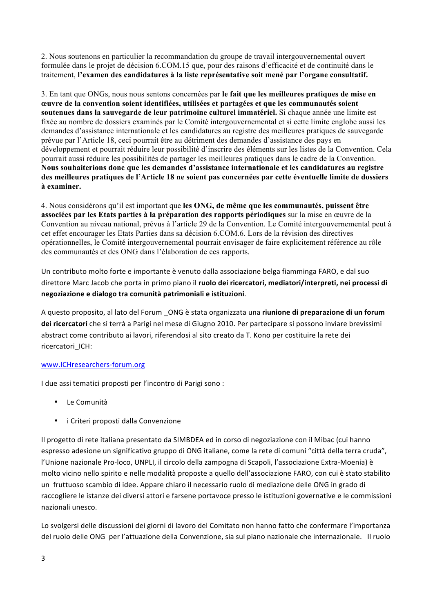2. Nous soutenons en particulier la recommandation du groupe de travail intergouvernemental ouvert formulée dans le projet de décision 6.COM.15 que, pour des raisons d'efficacité et de continuité dans le traitement, **l'examen des candidatures à la liste représentative soit mené par l'organe consultatif.**

3. En tant que ONGs, nous nous sentons concernées par **le fait que les meilleures pratiques de mise en œuvre de la convention soient identifiées, utilisées et partagées et que les communautés soient soutenues dans la sauvegarde de leur patrimoine culturel immatériel.** Si chaque année une limite est fixée au nombre de dossiers examinés par le Comité intergouvernemental et si cette limite englobe aussi les demandes d'assistance internationale et les candidatures au registre des meilleures pratiques de sauvegarde prévue par l'Article 18, ceci pourrait être au détriment des demandes d'assistance des pays en développement et pourrait réduire leur possibilité d'inscrire des éléments sur les listes de la Convention. Cela pourrait aussi réduire les possibilités de partager les meilleures pratiques dans le cadre de la Convention. **Nous souhaiterions donc que les demandes d'assistance internationale et les candidatures au registre des meilleures pratiques de l'Article 18 ne soient pas concernées par cette éventuelle limite de dossiers à examiner.**

4. Nous considérons qu'il est important que **les ONG, de même que les communautés, puissent être associées par les Etats parties à la préparation des rapports périodiques** sur la mise en œuvre de la Convention au niveau national, prévus à l'article 29 de la Convention. Le Comité intergouvernemental peut à cet effet encourager les Etats Parties dans sa décision 6.COM.6. Lors de la révision des directives opérationnelles, le Comité intergouvernemental pourrait envisager de faire explicitement référence au rôle des communautés et des ONG dans l'élaboration de ces rapports.

Un contributo molto forte e importante è venuto dalla associazione belga fiamminga FARO, e dal suo direttore Marc Jacob che porta in primo piano il ruolo dei ricercatori, mediatori/interpreti, nei processi di **negoziazione e dialogo tra comunità patrimoniali e istituzioni**. 

A questo proposito, al lato del Forum ONG è stata organizzata una riunione di preparazione di un forum dei ricercatori che si terrà a Parigi nel mese di Giugno 2010. Per partecipare si possono inviare brevissimi abstract come contributo ai lavori, riferendosi al sito creato da T. Kono per costituire la rete dei ricercatori\_ICH:

### www.ICHresearchers-forum.org

I due assi tematici proposti per l'incontro di Parigi sono :

- Le Comunità
- i Criteri proposti dalla Convenzione

Il progetto di rete italiana presentato da SIMBDEA ed in corso di negoziazione con il Mibac (cui hanno espresso adesione un significativo gruppo di ONG italiane, come la rete di comuni "città della terra cruda", l'Unione nazionale Pro-loco, UNPLI, il circolo della zampogna di Scapoli, l'associazione Extra-Moenia) è molto vicino nello spirito e nelle modalità proposte a quello dell'associazione FARO, con cui è stato stabilito un fruttuoso scambio di idee. Appare chiaro il necessario ruolo di mediazione delle ONG in grado di raccogliere le istanze dei diversi attori e farsene portavoce presso le istituzioni governative e le commissioni nazionali unesco.

Lo svolgersi delle discussioni dei giorni di lavoro del Comitato non hanno fatto che confermare l'importanza del ruolo delle ONG per l'attuazione della Convenzione, sia sul piano nazionale che internazionale. Il ruolo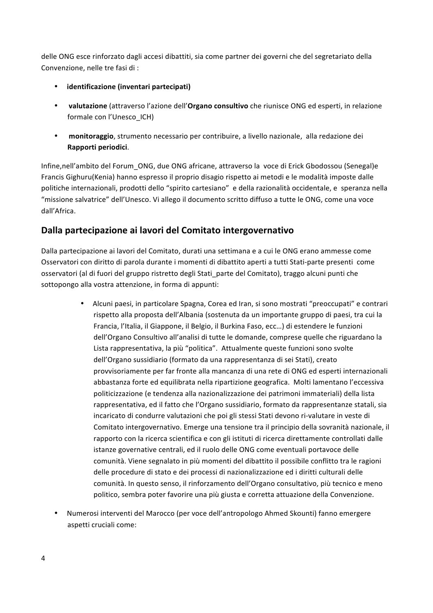delle ONG esce rinforzato dagli accesi dibattiti, sia come partner dei governi che del segretariato della Convenzione, nelle tre fasi di :

- **identificazione (inventari partecipati)**
- valutazione (attraverso l'azione dell'Organo consultivo che riunisce ONG ed esperti, in relazione formale con l'Unesco ICH)
- monitoraggio, strumento necessario per contribuire, a livello nazionale, alla redazione dei **Rapporti periodici**.

Infine,nell'ambito del Forum\_ONG, due ONG africane, attraverso la voce di Erick Gbodossou (Senegal)e Francis Gighuru(Kenia) hanno espresso il proprio disagio rispetto ai metodi e le modalità imposte dalle politiche internazionali, prodotti dello "spirito cartesiano" e della razionalità occidentale, e speranza nella "missione salvatrice" dell'Unesco. Vi allego il documento scritto diffuso a tutte le ONG, come una voce dall'Africa.

## Dalla partecipazione ai lavori del Comitato intergovernativo

Dalla partecipazione ai lavori del Comitato, durati una settimana e a cui le ONG erano ammesse come Osservatori con diritto di parola durante i momenti di dibattito aperti a tutti Stati-parte presenti come osservatori (al di fuori del gruppo ristretto degli Stati parte del Comitato), traggo alcuni punti che sottopongo alla vostra attenzione, in forma di appunti:

- Alcuni paesi, in particolare Spagna, Corea ed Iran, si sono mostrati "preoccupati" e contrari rispetto alla proposta dell'Albania (sostenuta da un importante gruppo di paesi, tra cui la Francia, l'Italia, il Giappone, il Belgio, il Burkina Faso, ecc...) di estendere le funzioni dell'Organo Consultivo all'analisi di tutte le domande, comprese quelle che riguardano la Lista rappresentativa, la più "politica". Attualmente queste funzioni sono svolte dell'Organo sussidiario (formato da una rappresentanza di sei Stati), creato provvisoriamente per far fronte alla mancanza di una rete di ONG ed esperti internazionali abbastanza forte ed equilibrata nella ripartizione geografica. Molti lamentano l'eccessiva politicizzazione (e tendenza alla nazionalizzazione dei patrimoni immateriali) della lista rappresentativa, ed il fatto che l'Organo sussidiario, formato da rappresentanze statali, sia incaricato di condurre valutazioni che poi gli stessi Stati devono ri-valutare in veste di Comitato intergovernativo. Emerge una tensione tra il principio della sovranità nazionale, il rapporto con la ricerca scientifica e con gli istituti di ricerca direttamente controllati dalle istanze governative centrali, ed il ruolo delle ONG come eventuali portavoce delle comunità. Viene segnalato in più momenti del dibattito il possibile conflitto tra le ragioni delle procedure di stato e dei processi di nazionalizzazione ed i diritti culturali delle comunità. In questo senso, il rinforzamento dell'Organo consultativo, più tecnico e meno politico, sembra poter favorire una più giusta e corretta attuazione della Convenzione.
- Numerosi interventi del Marocco (per voce dell'antropologo Ahmed Skounti) fanno emergere aspetti cruciali come: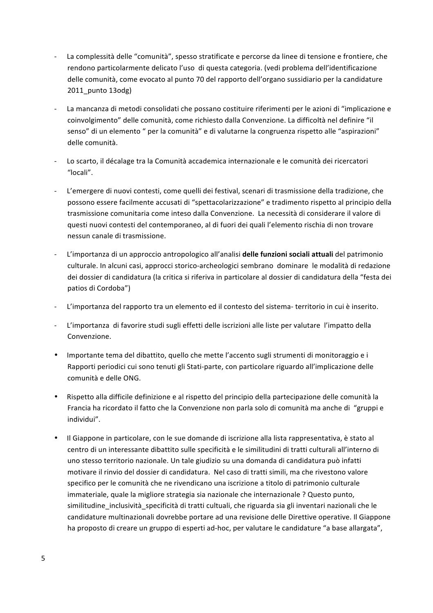- La complessità delle "comunità", spesso stratificate e percorse da linee di tensione e frontiere, che rendono particolarmente delicato l'uso di questa categoria. (vedi problema dell'identificazione delle comunità, come evocato al punto 70 del rapporto dell'organo sussidiario per la candidature 2011\_punto 13odg)
- La mancanza di metodi consolidati che possano costituire riferimenti per le azioni di "implicazione e coinvolgimento" delle comunità, come richiesto dalla Convenzione. La difficoltà nel definire "il senso" di un elemento " per la comunità" e di valutarne la congruenza rispetto alle "aspirazioni" delle comunità.
- Lo scarto, il décalage tra la Comunità accademica internazionale e le comunità dei ricercatori "locali".
- L'emergere di nuovi contesti, come quelli dei festival, scenari di trasmissione della tradizione, che possono essere facilmente accusati di "spettacolarizzazione" e tradimento rispetto al principio della trasmissione comunitaria come inteso dalla Convenzione. La necessità di considerare il valore di questi nuovi contesti del contemporaneo, al di fuori dei quali l'elemento rischia di non trovare nessun canale di trasmissione.
- L'importanza di un approccio antropologico all'analisi **delle funzioni sociali attuali** del patrimonio culturale. In alcuni casi, approcci storico-archeologici sembrano dominare le modalità di redazione dei dossier di candidatura (la critica si riferiva in particolare al dossier di candidatura della "festa dei patios di Cordoba")
- L'importanza del rapporto tra un elemento ed il contesto del sistema- territorio in cui è inserito.
- L'importanza di favorire studi sugli effetti delle iscrizioni alle liste per valutare l'impatto della Convenzione.
- Importante tema del dibattito, quello che mette l'accento sugli strumenti di monitoraggio e i Rapporti periodici cui sono tenuti gli Stati-parte, con particolare riguardo all'implicazione delle comunità e delle ONG.
- Rispetto alla difficile definizione e al rispetto del principio della partecipazione delle comunità la Francia ha ricordato il fatto che la Convenzione non parla solo di comunità ma anche di "gruppi e individui".
- Il Giappone in particolare, con le sue domande di iscrizione alla lista rappresentativa, è stato al centro di un interessante dibattito sulle specificità e le similitudini di tratti culturali all'interno di uno stesso territorio nazionale. Un tale giudizio su una domanda di candidatura può infatti motivare il rinvio del dossier di candidatura. Nel caso di tratti simili, ma che rivestono valore specifico per le comunità che ne rivendicano una iscrizione a titolo di patrimonio culturale immateriale, quale la migliore strategia sia nazionale che internazionale ? Questo punto, similitudine inclusività specificità di tratti cultuali, che riguarda sia gli inventari nazionali che le candidature multinazionali dovrebbe portare ad una revisione delle Direttive operative. Il Giappone ha proposto di creare un gruppo di esperti ad-hoc, per valutare le candidature "a base allargata",